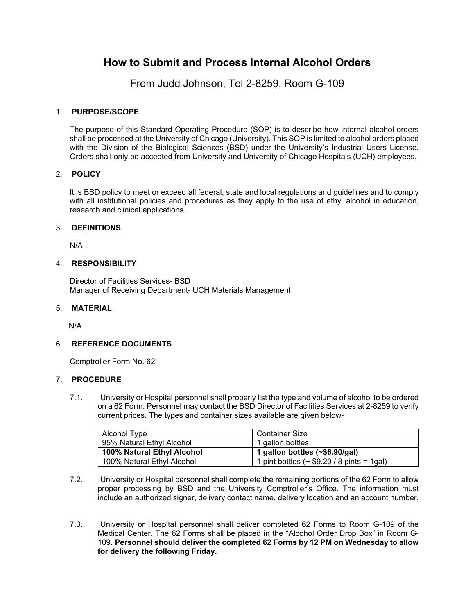# **How to Submit and Process Internal Alcohol Orders**

From Judd Johnson, Tel 2-8259, Room G-109

### 1. **PURPOSE/SCOPE**

The purpose of this Standard Operating Procedure (SOP) is to describe how internal alcohol orders shall be processed at the University of Chicago (University). This SOP is limited to alcohol orders placed with the Division of the Biological Sciences (BSD) under the University's Industrial Users License. Orders shall only be accepted from University and University of Chicago Hospitals (UCH) employees.

#### 2. **POLICY**

It is BSD policy to meet or exceed all federal, state and local regulations and guidelines and to comply with all institutional policies and procedures as they apply to the use of ethyl alcohol in education, research and clinical applications.

## 3. **DEFINITIONS**

N/A

#### 4. **RESPONSIBILITY**

Director of Facilities Services- BSD Manager of Receiving Department- UCH Materials Management

#### 5. **MATERIAL**

N/A

#### 6. **REFERENCE DOCUMENTS**

Comptroller Form No. 62

#### 7. **PROCEDURE**

7.1. University or Hospital personnel shall properly list the type and volume of alcohol to be ordered on a 62 Form. Personnel may contact the BSD Director of Facilities Services at 2-8259 to verify current prices. The types and container sizes available are given below-

| Alcohol Type               | Container Size                                   |
|----------------------------|--------------------------------------------------|
| 95% Natural Ethyl Alcohol  | 1 gallon bottles                                 |
| 100% Natural Ethyl Alcohol | 1 gallon bottles $(\sim $6.90/gal)$              |
| 100% Natural Ethyl Alcohol | 1 pint bottles ( $\sim$ \$9.20 / 8 pints = 1gal) |

- $7.2.$ 7.2. University or Hospital personnel shall complete the remaining portions of the 62 Form to allow proper processing by BSD and the University Comptroller's Office. The information must include an authorized signer, delivery contact name, delivery location and an account number.
- 7.3. University or Hospital personnel shall deliver completed 62 Forms to Room G-109 of the Medical Center. The 62 Forms shall be placed in the "Alcohol Order Drop Box" in Room G-109. **Personnel should deliver the completed 62 Forms by 12 PM on Wednesday to allow for delivery the following Friday.**